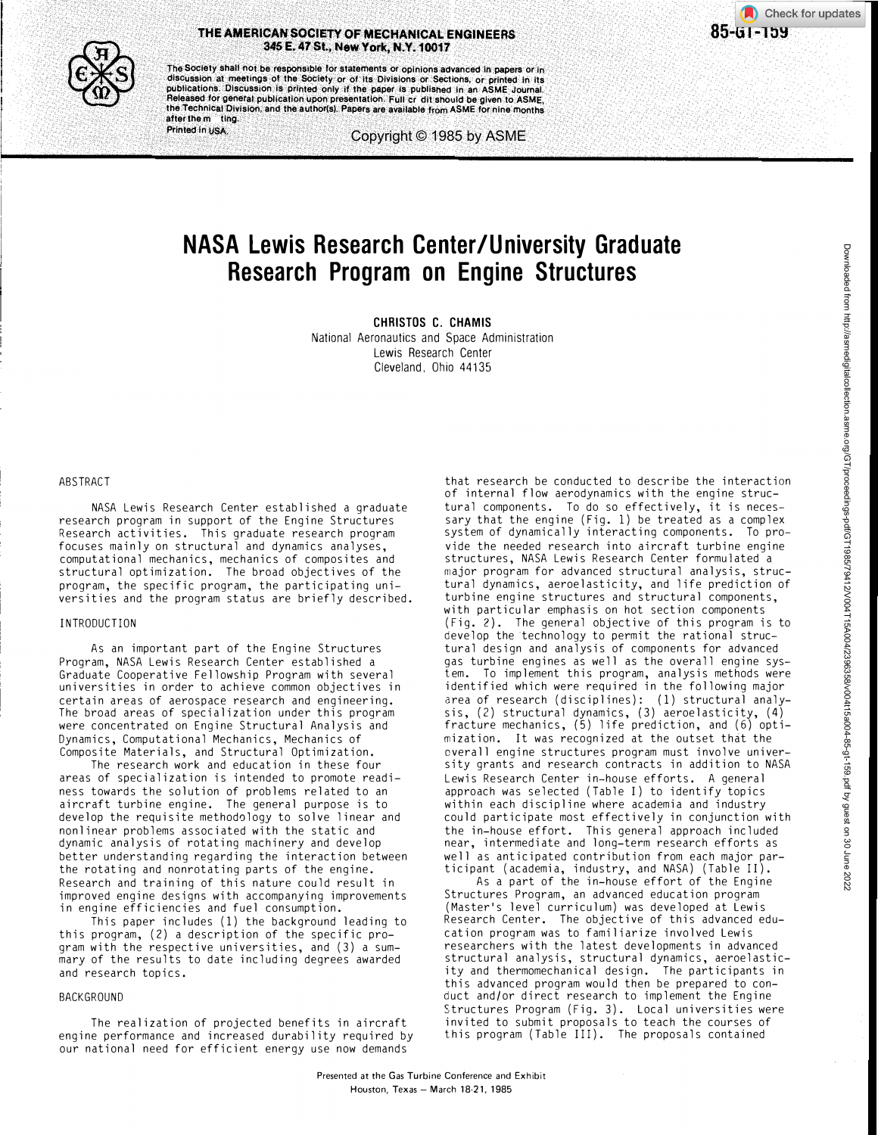

Check for updates <sup>85</sup>-GT-159



The Society shall not be responsible for statements or opinions advanced in papers or in discussion at meetings of the Society or of its Divisions or Sections, or printed in its publications. Discussion is printed only if the paper is published in an ASME Journ Released for general publication upon presentation. Full cr dit should be given to ASME, the Technical Division, and the a uthor(s). Papers are available from ASME for nine months after the m ting.

Printed in USA.

Copyright © 1985 by ASME

# NASA Lewis Research Center /University Graduate Research Program on Engine Structures

CHRISTOS C. CHAMIS National Aeronautics and Space Administration Lewis Research Center Cleveland, Ohio 44135

# ABSTRACT

NASA Lewis Research Center established a graduate research program in support of the Engine Structures Research activities. This graduate research program focuses mainly on structural and dynamics analyses, computational mechanics, mechanics of composites and structural optimization. The broad objectives of the program, the specific program, the participating universities and the program status are briefly described.

### INTRODUCTION

As an important part of the Engine Structures Program, NASA Lewis Research Center established a Graduate Cooperative Fellowship Program with several universities in order to achieve common objectives in certain areas of aerospace research and engineering. The broad areas of specialization under this program were concentrated on Engine Structural Analysis and Dynamics, Computational Mechanics, Mechanics of Composite Materials, and Structural Optimization.

The research work and education in these four areas of specialization is intended to promote readiness towards the solution of problems related to an aircraft turbine engine. The general purpose is to develop the requisite methodology to solve linear and nonlinear problems associated with the static and dynamic analysis of rotating machinery and develop better understanding regarding the interaction between the rotating and nonrotating parts of the engine. Research and training of this nature could result in improved engine designs with accompanying improvements in engine efficiencies and fuel consumption.

This paper includes (1) the background leading to this program, (2) a description of the specific program with the respective universities, and (3) a summary of the results to date including degrees awarded and research topics.

# BACKGROUND

The realization of projected benefits in aircraft engine performance and increased durability required by our national need for efficient energy use now demands

that research be conducted to describe the interaction of internal flow aerodynamics with the engine structural components. To do so effectively, it is necessary that the engine (Fig. 1) be treated as a complex system of dynamically interacting components. To provide the needed research into aircraft turbine engine structures, NASA Lewis Research Center formulated a major program for advanced structural analysis, structural dynamics, aeroelasticity, and life prediction of turbine engine structures and structural components, with particular emphasis on hot section components (Fig. 2). The general objective of this program is to develop the technology to permit the rational structural design and analysis of components for advanced gas turbine engines as well as the overall engine system. To implement this program, analysis methods were identified which were required in the following major area of research (disciplines): (1) structural analysis, (2) structural dynamics, (3) aeroelasticity, (4) fracture mechanics, (5) life prediction, and (6) optimization. It was recognized at the outset that the overall engine structures program must involve university grants and research contracts in addition to NASA Lewis Research Center in-house efforts. A general approach was selected (Table I) to identify topics within each discipline where academia and industry could participate most effectively in conjunction with the in-house effort. This general approach included near, intermediate and long-term research efforts as well as anticipated contribution from each major participant (academia, industry, and NASA) (Table II).

As a part of the in-house effort of the Engine Structures Program, an advanced education program (Master's level curriculum) was developed at Lewis Research Center. The objective of this advanced education program was to familiarize involved Lewis researchers with the latest developments in advanced structural analysis, structural dynamics, aeroelasticity and thermomechanical design. The participants in this advanced program would then be prepared to conduct and/or direct research to implement the Engine Structures Program (Fig. 3). Local universities were invited to submit proposals to teach the courses of this program (Table III). The proposals contained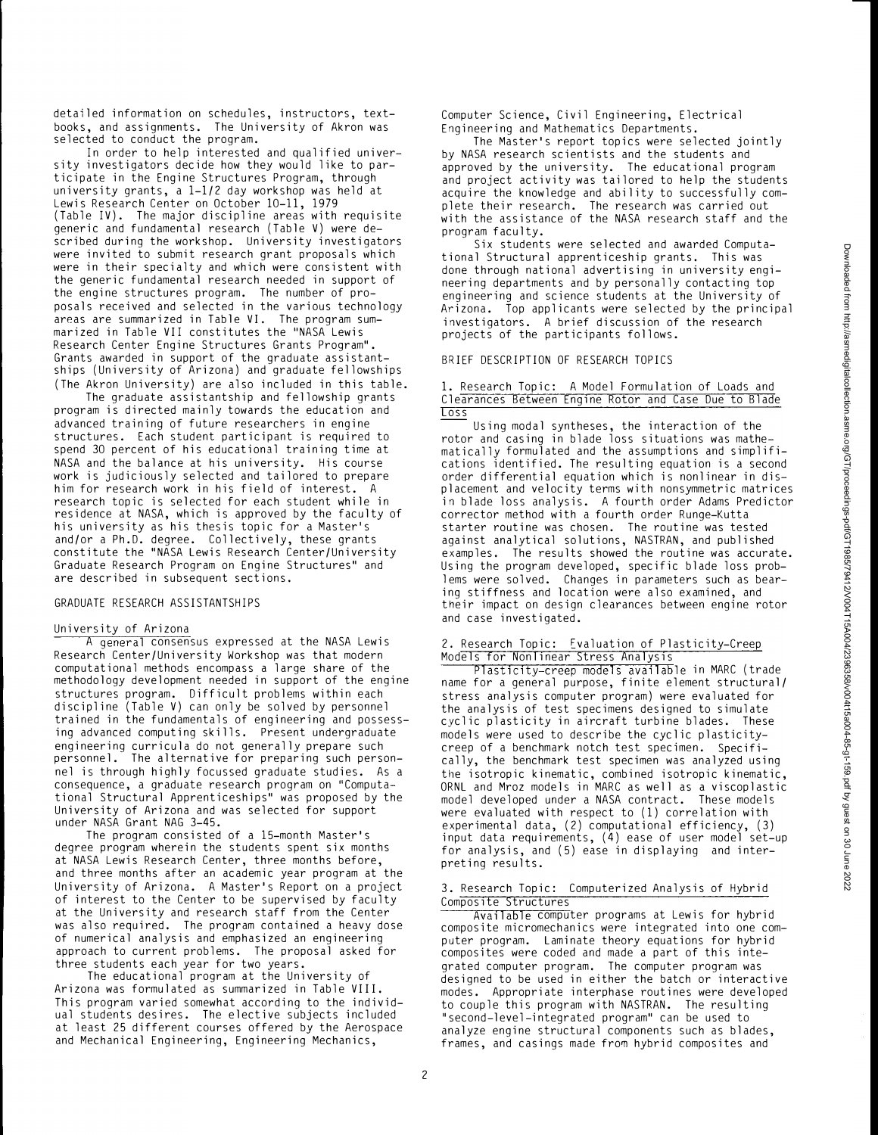detailed information on schedules, instructors, textbooks, and assignments. The University of Akron was selected to conduct the program.

In order to help interested and qualified university investigators decide how they would like to participate in the Engine Structures Program, through university grants, a 1-1/2 day workshop was held at Lewis Research Center on October 10-11, 1979 (Table IV). The major discipline areas with requisite generic and fundamental research (Table V) were described during the workshop. University investigators were invited to submit research grant proposals which were in their specialty and which were consistent with the generic fundamental research needed in support of the engine structures program. The number of proposals received and selected in the various technology areas are summarized in Table VI. The program summarized in Table VII constitutes the " NASA Lewis Research Center Engine Structures Grants Program". Grants awarded in support of the graduate assistantships (University of Arizona) and graduate fellowships (The Akron University) are also included in this table.

The graduate assistantship and fellowship grants program is directed mainly towards the education and advanced training of future researchers in engine structures. Each student participant is required to spend 30 percent of his educational training time at NASA and the balance at his university. His course work is judiciously selected and tailored to prepare him for research work in his field of interest. A research topic is selected for each student while in residence at NASA, which is approved by the faculty of his university as his thesis topic for a Master's and/or a Ph.D. degree. Collectively, these grants constitute the "NASA Lewis Research Center/University Graduate Research Program on Engine Structures" and are described in subsequent sections.

#### GRADUATE RESEARCH ASSISTANTSHIPS

#### University of Arizona

A general consensus expressed at the NASA Lewis Research Center/University Workshop was that modern computational methods encompass a large share of the methodology development needed in support of the engine structures program. Difficult problems within each discipline (Table V) can only be solved by personnel trained in the fundamentals of engineering and possessing advanced computing skills. Present undergraduate engineering curricula do not generally prepare such personnel. The alternative for preparing such personnel is through highly focussed graduate studies. As a consequence, a graduate research program on "Computational Structural Apprenticeships" was proposed by the University of Arizona and was selected for support under NASA Grant NAG 3-45.

The program consisted of a 15-month Master's degree program wherein the students spent six months at NASA Lewis Research Center, three months before, and three months after an academic year program at the University of Arizona. A Master's Report on a project of interest to the Center to be supervised by faculty at the University and research staff from the Center was also required. The program contained a heavy dose of numerical analysis and emphasized an engineering approach to current problems. The proposal asked for three students each year for two years.

The educational program at the University of Arizona was formulated as summarized in Table VIII. This program varied somewhat according to the individual students desires. The elective subjects included at least 25 different courses offered by the Aerospace and Mechanical Engineering, Engineering Mechanics,

Computer Science, Civil Engineering, Electrical Engineering and Mathematics Departments.

The Master's report topics were selected jointly by NASA research scientists and the students and approved by the university. The educational program and project activity was tailored to help the students acquire the knowledge and ability to successfully complete their research. The research was carried out with the assistance of the NASA research staff and the program faculty.

Six students were selected and awarded Computational Structural apprenticeship grants. This was done through national advertising in university engineering departments and by personally contacting top engineering and science students at the University of Arizona. Top applicants were selected by the principal investigators. A brief discussion of the research projects of the participants follows.

#### BRIEF DESCRIPTION OF RESEARCH TOPICS

## 1. Research Topic: A Model Formulation of Loads and Clearances Between Engine Rotor and Case Due to Blade Loss

Using modal syntheses, the interaction of the rotor and casing in blade loss situations was mathematically formulated and the assumptions and simplifications identified. The resulting equation is a second order differential equation which is nonlinear in displacement and velocity terms with nonsymmetric matrices in blade loss analysis. A fourth order Adams Predictor corrector method with a fourth order Runge-Kutta starter routine was chosen. The routine was tested against analytical solutions, NASTRAN, and published examples. The results showed the routine was accurate. Using the program developed, specific blade loss problems were solved. Changes in parameters such as bearing stiffness and location were also examined, and their impact on design clearances between engine rotor and case investigated.

#### 2. Research Topic: Fvaluation of Plasticity-Creep Models for Nonlinear Stress Analysis

Plasticity-creep models available in MARC (trade name for a general purpose, finite element structural/ stress analysis computer program) were evaluated for the analysis of test specimens designed to simulate cyclic plasticity in aircraft turbine blades. These models were used to describe the cyclic plasticitycreep of a benchmark notch test specimen. Specifically, the benchmark test specimen was analyzed using the isotropic kinematic, combined isotropic kinematic, ORNL and Mroz models in MARC as well as a viscoplastic model developed under a NASA contract. These models were evaluated with respect to (1) correlation with experimental data, (2) computational efficiency, (3) input data requirements, (4) ease of user model set-up for analysis, and (5) ease in displaying and interpreting results.

# 3. Research Topic: Computerized Analysis of Hybrid Composite Structures

Available computer programs at Lewis for hybrid composite micromechanics were integrated into one computer program. Laminate theory equations for hybrid composites were coded and made a part of this integrated computer program. The computer program was designed to be used in either the batch or interactive modes. Appropriate interphase routines were developed to couple this program with NASTRAN. The resulting ''second-level-integrated program" can be used to analyze engine structural components such as blades, frames, and casings made from hybrid composites and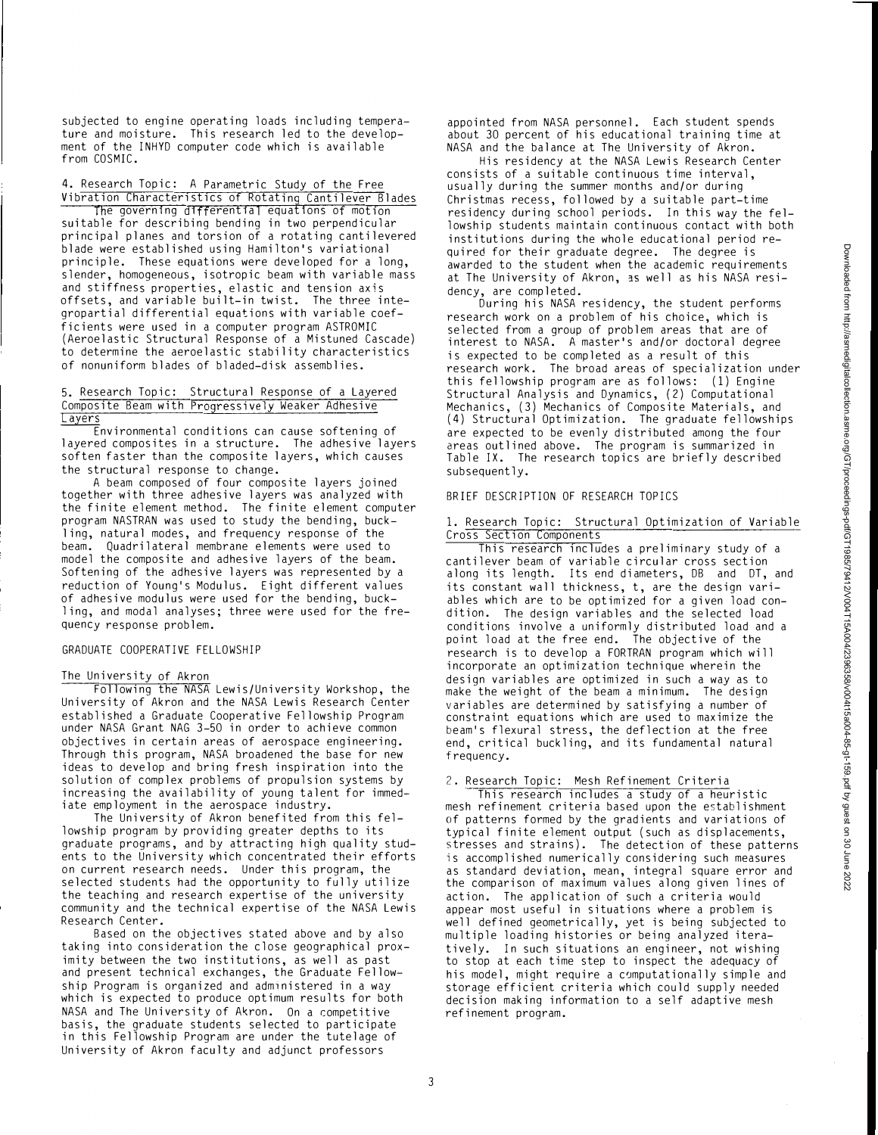subjected to engine operating loads including temperature and moisture. This research led to the development of the INHYD computer code which is available from COSMIC.

4. Research Topic: A Parametric Study of the Free Vibration Characteristics of Rotating Cantilever Blades

The governing differential equations of motion suitable for describing bending in two perpendicular principal planes and torsion of a rotating cantilevered blade were established using Hamilton's variational principle. These equations were developed for a long, slender, homogeneous, isotropic beam with variable mass and stiffness properties, elastic and tension axis offsets, and variable built-in twist. The three integropartial differential equations with variable coefficients were used in a computer program ASTROMIC (Aeroelastic Structural Response of a Mistuned Cascade) to determine the aeroelastic stability characteristics of nonuniform blades of bladed-disk assemblies.

#### 5. Research Topic: Structural Response of a Layered Composite Beam with Progressively Weaker Adhesive Layers

Environmental conditions can cause softening of layered composites in a structure. The adhesive layers soften faster than the composite layers, which causes the structural response to change.

A beam composed of four composite layers joined together with three adhesive layers was analyzed with the finite element method. The finite element computer program NASTRAN was used to study the bending, buckling, natural modes, and frequency response of the beam. Quadrilateral membrane elements were used to model the composite and adhesive layers of the beam. Softening of the adhesive layers was represented by a reduction of Young's Modulus. Eight different values of adhesive modulus were used for the bending, buckling, and modal analyses; three were used for the frequency response problem.

#### GRADUATE COOPERATIVE FELLOWSHIP

#### The University of Akron

Following the NASA Lewis/University Workshop, the University of Akron and the NASA Lewis Research Center established a Graduate Cooperative Fellowship Program under NASA Grant NAG 3-50 in order to achieve common objectives in certain areas of aerospace engineering. Through this program, NASA broadened the base for new ideas to develop and bring fresh inspiration into the solution of complex problems of propulsion systems by increasing the availability of young talent for immediate employment in the aerospace industry.

The University of Akron benefited from this fellowship program by providing greater depths to its graduate programs, and by attracting high quality students to the University which concentrated their efforts on current research needs. Under this program, the selected students had the opportunity to fully utilize the teaching and research expertise of the university community and the technical expertise of the NASA Lewis Research Center.

Based on the objectives stated above and by also taking into consideration the close geographical proximity between the two institutions, as well as past and present technical exchanges, the Graduate Fellowship Program is organized and administered in a way which is expected to produce optimum results for both NASA and The University of Akron. On a competitive basis, the graduate students selected to participate in this Fellowship Program are under the tutelage of University of Akron faculty and adjunct professors

appointed from NASA personnel. Each student spends about 30 percent of his educational training time at NASA and the balance at The University of Akron.

His residency at the NASA Lewis Research Center consists of a suitable continuous time interval, usually during the summer months and/or during Christmas recess, followed by a suitable part-time residency during school periods. In this way the fellowship students maintain continuous contact with both institutions during the whole educational period required for their graduate degree. The degree is awarded to the student when the academic requirements at The University of Akron, as well as his NASA residency, are completed.

During his NASA residency, the student performs research work on a problem of his choice, which is selected from a group of problem areas that are of interest to NASA. A master's and/or doctoral degree is expected to be completed as a result of this research work. The broad areas of specialization under this fellowship program are as follows: (1) Engine Structural Analysis and Dynamics, (2) Computational Mechanics, (3) Mechanics of Composite Materials, and (4) Structural Optimization. The graduate fellowships are expected to be evenly distributed among the four areas outlined above. The program is summarized in Table IX. The research topics are briefly described subsequently.

# BRIEF DESCRIPTION OF RESEARCH TOPICS

#### 1. Research Topic: Structural Optimization of Variable Cross Section Components

This research includes a preliminary study of a cantilever beam of variable circular cross section along its length. Its end diameters, DB and DT, and its constant wall thickness, t, are the design variables which are to be optimized for a given load condition. The design variables and the selected load conditions involve a uniformly distributed load and a point load at the free end. The objective of the research is to develop a FORTRAN program which will incorporate an optimization technique wherein the design variables are optimized in such a way as to make the weight of the beam a minimum. The design variables are determined by satisfying a number of constraint equations which are used to maximize the beam's flexural stress, the deflection at the free end, critical buckling, and its fundamental natural frequency.

#### 2. Research Topic: Mesh Refinement Criteria

This research includes a study of a heuristic mesh refinement criteria based upon the establishment of patterns formed by the gradients and variations of typical finite element output (such as displacements, stresses and strains). The detection of these patterns is accomplished numerically considering such measures as standard deviation, mean, integral square error and the comparison of maximum values along given lines of action. The application of such a criteria would appear most useful in situations where a problem is well defined geometrically, yet is being subjected to multiple loading histories or being analyzed iteratively. In such situations an engineer, not wishing to stop at each time step to inspect the adequacy of his model, might require a computationally simple and storage efficient criteria which could supply needed decision making information to a self adaptive mesh refinement program.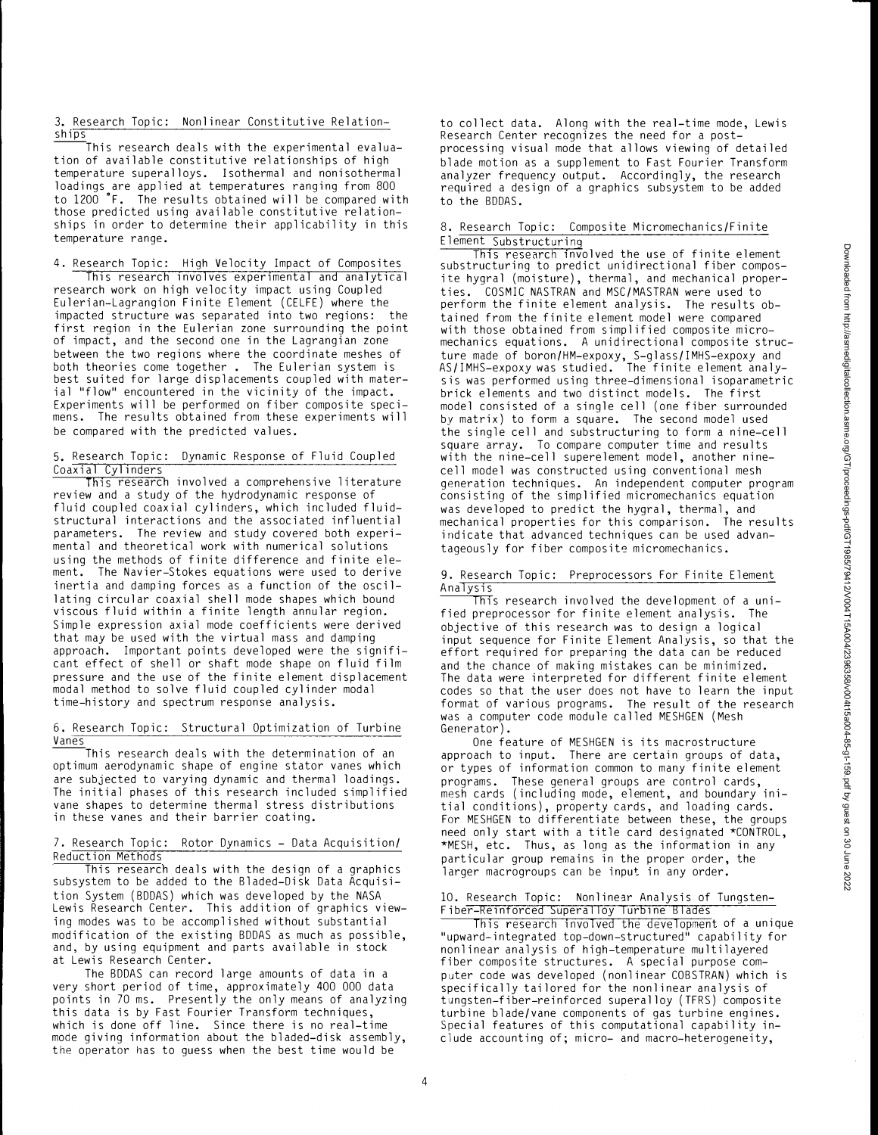3. Research Topic: Nonlinear Constitutive Relation  $ship<sub>s</sub>$ 

This research deals with the experimental evaluation of available constitutive relationships of high temperature superalloys. Isothermal and nonisothermal loadings are applied at temperatures ranging from 800 to 1200 °F. The results obtained will be compared with those predicted using available constitutive relationships in order to determine their applicability in this temperature range.

4. Research Topic: High Velocity Impact of Composites This research involves experimental and analytical research work on high velocity impact using Coupled Eulerian-Lagrangian Finite Element (CELFE) where the impacted structure was separated into two regions: the first region in the Eulerian zone surrounding the point of impact, and the second one in the Lagrangian zone between the two regions where the coordinate meshes of both theories come together . The Eulerian system is best suited for large displacements coupled with material "flow" encountered in the vicinity of the impact. Experiments will be performed on fiber composite specimens. The results obtained from these experiments will be compared with the predicted values.

# 5. Research Topic: Dynamic Response of Fluid Coupled Coaxial Cylinders

This research involved a comprehensive literature review and a study of the hydrodynamic response of fluid coupled coaxial cylinders, which included fluidstructural interactions and the associated influential parameters. The review and study covered both experimental and theoretical work with numerical solutions using the methods of finite difference and finite element. The Navier-Stokes equations were used to derive inertia and damping forces as a function of the oscillating circular coaxial shell mode shapes which bound viscous fluid within a finite length annular region. Simple expression axial mode coefficients were derived that may be used with the virtual mass and damping approach. Important points developed were the significant effect of shell or shaft mode shape on fluid film pressure and the use of the finite element displacement modal method to solve fluid coupled cylinder modal time-history and spectrum response analysis.

#### 6. Research Topic: Structural Optimization of Turbine Vanes

��This research deals with the determination of an optimum aerodynamic shape of engine stator vanes which are subjected to varying dynamic and thermal loadings. The initial phases of this research included simplified vane shapes to determine thermal stress distributions in these vanes and their barrier coating.

# 7. Research Topic: Rotor Dynamics - Data Acquisition/ Reduction Methods

This research deals with the design of a graphics subsystem to be added to the Bladed-Disk Data Acquisition System (BDDAS) which was developed by the NASA Lewis Research Center. This addition of graphics viewing modes was to be accomplished without substantial modification of the existing BDDAS as much as possible, and, by using equipment and parts available in stock at Lewis Research Center.

The BDDAS can record large amounts of data in a very short period of time, approximately 400 000 data points in 70 ms. Presently the only means of analyzing this data is by Fast Fourier Transform techniques, which is done off line. Since there is no real-time mode giving information about the bladed-disk assembly, the operator has to guess when the best time would be

to collect data. Along with the real-time mode, Lewis Research Center recognizes the need for a postprocessing visual mode that allows viewing of detailed blade motion as a supplement to Fast Fourier Transform analyzer frequency output. Accordingly, the research required a design of a graphics subsystem to be added to the BDDAS.

## 8. Research Topic: Composite Micromechanics/Finite Element Substructuring

This research involved the use of finite element substructuring to predict unidirectional fiber composite hygral (moisture), thermal, and mechanical properties. COSMIC NASTRAN and MSC/MASTRAN were used to perform the finite element analysis. The results obtained from the finite element model were compared with those obtained from simplified composite micromechanics equations. A unidirectional composite structure made of boron/HM-expoxy, S-glass/IMHS-expoxy and AS/IMHS-expoxy was studied. The finite element analysis was performed using three-dimensional isoparametric brick elements and two distinct models. The first model consisted of a single cell (one fiber surrounded by matrix) to form a square. The second model used the single cell and substructuring to form a nine-cell square array. To compare computer time and results with the nine-cell superelement model, another ninecell model was constructed using conventional mesh generation techniques. An independent computer program consisting of the simplified micromechanics equation was developed to predict the hygral, thermal, and mechanical properties for this comparison. The results indicate that advanced techniques can be used advantageously for fiber composite micromechanics.

#### 9. Research Topic: Preprocessors For Finite Element Analysis

This research involved the development of a unified preprocessor for finite element analysis. The objective of this research was to design a logical input sequence for Finite Element Analysis, so that the effort required for preparing the data can be reduced and the chance of making mistakes can be minimized. The data were interpreted for different finite element codes so that the user does not have to learn the input format of various programs. The result of the research was a computer code module called MESHGEN (Mesh Generator).

One feature of MESHGEN is its macrostructure approach to input. There are certain groups of data, or types of information common to many finite element programs. These general groups are control cards, mesh cards (including mode, element, and boundary initial conditions), property cards, and loading cards. For MESHGEN to differentiate between these, the groups need only start with a title card designated \*CONTROL, \*MESH, etc. Thus, as long as the information in any particular group remains in the proper order, the larger macrogroups can be input in any order.

## 10. Research Topic: Nonlinear Analysis of Tungsten-Fiber-Reinforced Superalloy Turbine Blades

This research involved the development of a unique " upward-integrated top-down-structured" capability for nonlinear analysis of high-temperature multilayered fiber composite structures. A special purpose computer code was developed (nonlinear COBSTRAN) which is specifically tailored for the nonlinear analysis of tungsten-fiber-reinforced superalloy (TFRS) composite turbine blade/vane components of gas turbine engines. Special features of this computational capability include accounting of; micro- and macro-heterogeneity,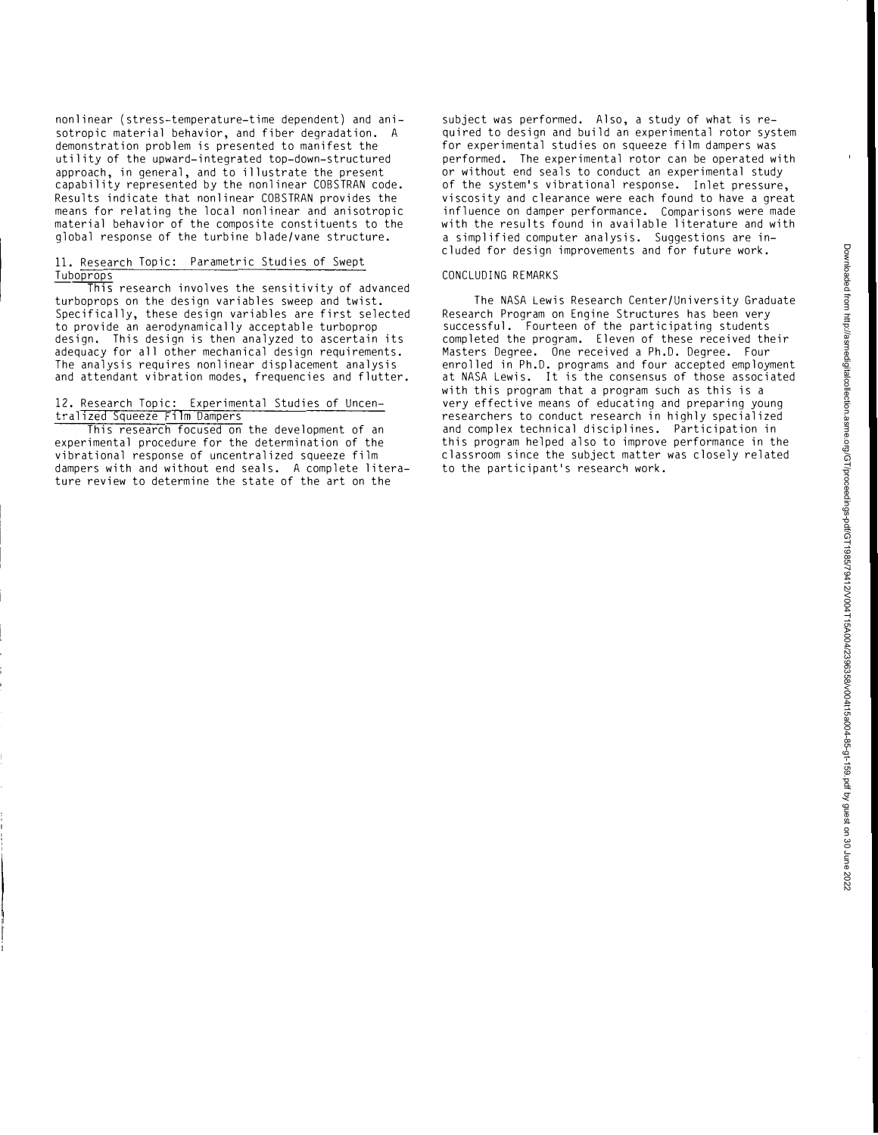nonlinear (stress-temperature-time dependent) and anisotropic material behavior, and fiber degradation. A demonstration problem is presented to manifest the utility of the upward-integrated top-down-structured approach, in general, and to illustrate the present capability represented by the nonlinear COBSTRAN code. Results indicate that nonlinear COBSTRAN provides the means for relating the local nonlinear and anisotropic material behavior of the composite constituents to the global response of the turbine blade/vane structure.

### 11. Research Topic: Parametric Studies of Swept Tuboprops

 $\overline{\text{This}}$  research involves the sensitivity of advanced turboprops on the design variables sweep and twist. Specifically, these design variables are first selected to provide an aerodynamically acceptable turboprop design. This design is then analyzed to ascertain its adequacy for all other mechanical design requirements. The analysis requires nonlinear displacement analysis and attendant vibration modes, frequencies and flutter.

# 12. Research Topic: Experimental Studies of Uncentral1zed Squeeze Film Dampers

This research focused on the development of an experimental procedure for the determination of the vibrational response of uncentralized squeeze film dampers with and without end seals. A complete literature review to determine the state of the art on the

subject was performed. Also, a study of what is required to design and build an experimental rotor system for experimental studies on squeeze film dampers was performed. The experimental rotor can be operated with or without end seals to conduct an experimental study of the system's vibrational response. Inlet pressure, viscosity and clearance were each found to have a great influence on damper performance. Comparisons were made with the results found in available literature and with a simplified computer analysis. Suggestions are included for design improvements and for future work.

# CONCLUDING REMARKS

The NASA Lewis Research Center/University Graduate Research Program on Engine Structures has been very successful. Fourteen of the participating students completed the program. Eleven of these received their Masters Degree. One received a Ph.D. Degree. Four enrolled in Ph.D. programs and four accepted employment at NASA Lewis. It is the consensus of those associated with this program that a program such as this is a very effective means of educating and preparing young researchers to conduct research in highly specialized and complex technical disciplines. Participation in this program helped also to improve performance in the classroom since the subject matter was closely related to the participant's research work.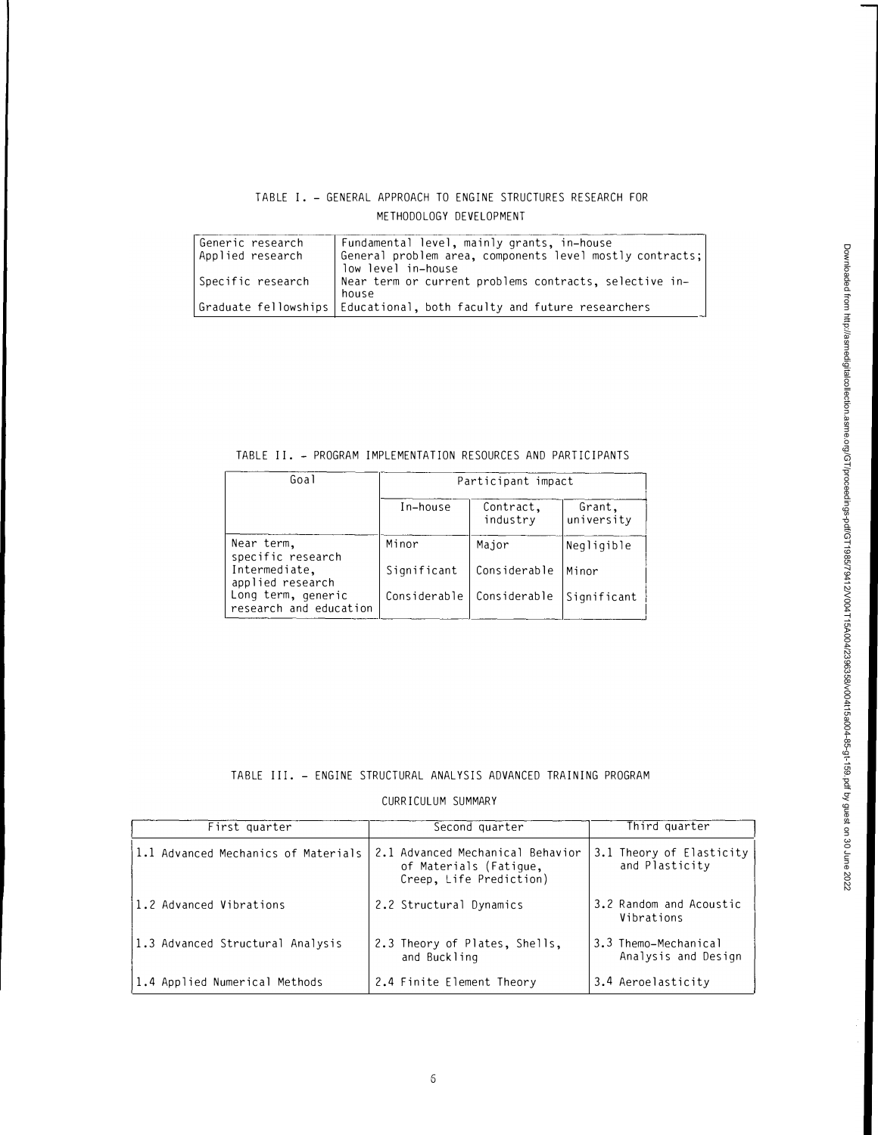# TABLE I. - GENERAL APPROACH TO ENGINE STRUCTURES RESEARCH FOR METHODOLOGY DEVELOPMENT

| Generic research<br>Applied research | Fundamental level, mainly grants, in-house<br>General problem area, components level mostly contracts;<br>low level in-house |
|--------------------------------------|------------------------------------------------------------------------------------------------------------------------------|
| Specific research                    | Near term or current problems contracts, selective in-<br>house                                                              |
|                                      | Graduate fellowships Educational, both faculty and future researchers                                                        |

TABLE II. - PROGRAM IMPLEMENTATION RESOURCES AND PARTICIPANTS

| Goal                                         | Participant impact |                       |                      |
|----------------------------------------------|--------------------|-----------------------|----------------------|
|                                              | In-house           | Contract,<br>industry | Grant,<br>university |
| Near term,<br>specific research              | Minor              | Major                 | Negligible           |
| Intermediate,<br>applied research            | Significant        | Considerable          | lMinor               |
| Long term, generic<br>research and education | Considerable       | Considerable          | Significant          |

# TABLE III. - ENGINE STRUCTURAL ANAL YSIS ADVANCED TRAINING PROGRAM

CURRICULUM SUMMARY

| First quarter                       | Second quarter                                                                        | Third quarter                               |
|-------------------------------------|---------------------------------------------------------------------------------------|---------------------------------------------|
| 1.1 Advanced Mechanics of Materials | 2.1 Advanced Mechanical Behavior<br>of Materials (Fatique,<br>Creep, Life Prediction) | 3.1 Theory of Elasticity<br>and Plasticity  |
| 11.2 Advanced Vibrations            | 2.2 Structural Dynamics                                                               | 3.2 Random and Acoustic<br>Vibrations       |
| 1.3 Advanced Structural Analysis    | 2.3 Theory of Plates, Shells,<br>and Buckling                                         | 3.3 Themo-Mechanical<br>Analysis and Design |
| 1.4 Applied Numerical Methods       | 2.4 Finite Element Theory                                                             | 3.4 Aeroelasticity                          |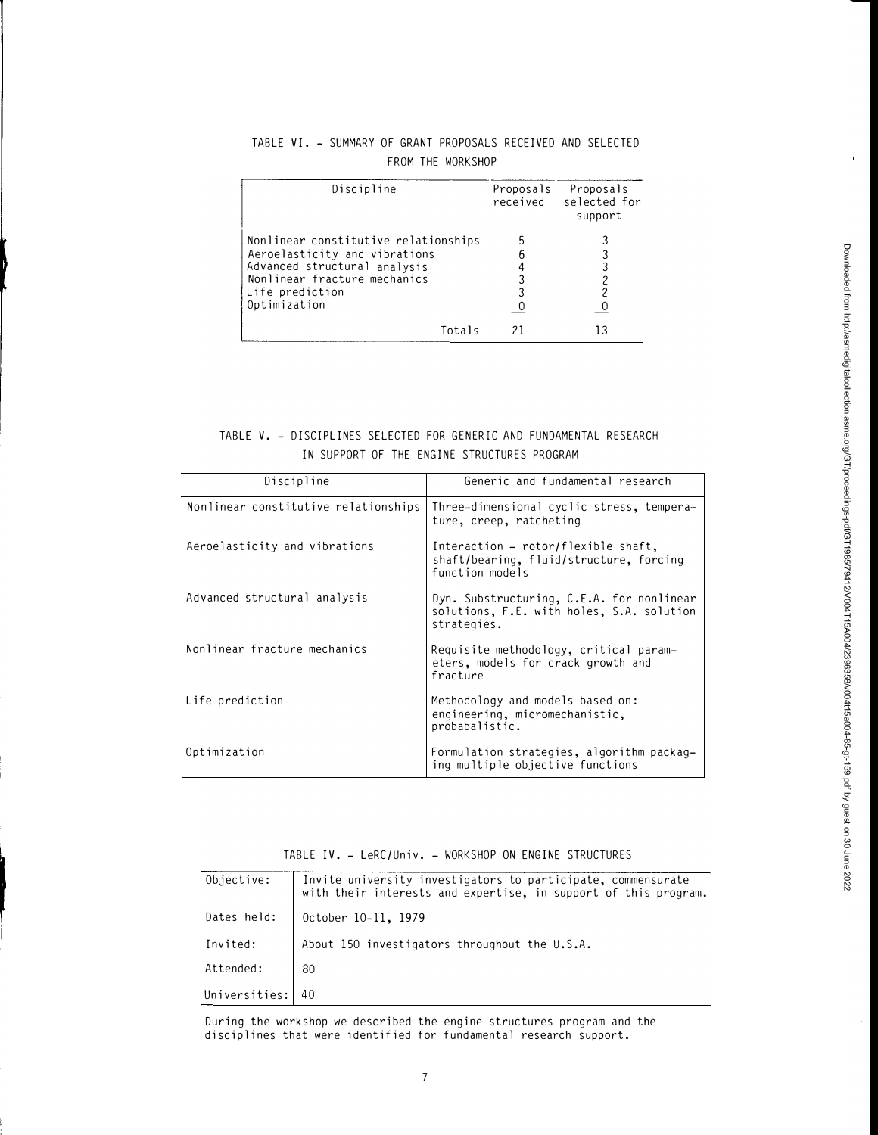| Discipline                                                                                                                                                               | Proposals<br>received | Proposals<br>selected for<br>support |
|--------------------------------------------------------------------------------------------------------------------------------------------------------------------------|-----------------------|--------------------------------------|
| Nonlinear constitutive relationships<br>Aeroelasticity and vibrations<br>Advanced structural analysis<br>Nonlinear fracture mechanics<br>Life prediction<br>Optimization |                       |                                      |
| Totals                                                                                                                                                                   |                       |                                      |

# TABLE VI. - SUMMARY OF GRANT PROPOSALS RECEIVED AND SELECTED FROM THE WORKSHOP

# TABLE V. - DISCIPLINES SELECTED FOR GENERIC AND FUNDAMENTAL RESEARCH IN SUPPORT OF THE ENGINE STRUCTURES PROGRAM

| Discipline                           | Generic and fundamental research                                                                      |
|--------------------------------------|-------------------------------------------------------------------------------------------------------|
| Nonlinear constitutive relationships | Three-dimensional cyclic stress, tempera-<br>ture, creep, ratcheting                                  |
| Aeroelasticity and vibrations        | Interaction $-$ rotor/flexible shaft,<br>shaft/bearing, fluid/structure, forcing<br>function models   |
| Advanced structural analysis         | Dyn. Substructuring, C.E.A. for nonlinear<br>solutions, F.E. with holes, S.A. solution<br>strategies. |
| Nonlinear fracture mechanics         | Requisite methodology, critical param-<br>eters, models for crack growth and<br>fracture              |
| Life prediction                      | Methodology and models based on:<br>engineering, micromechanistic,<br>probabalistic.                  |
| Optimization                         | Formulation strategies, algorithm packag-<br>ing multiple objective functions                         |

TABLE IV. - LeRC/Univ. - WORKSHOP ON ENGINE STRUCTURES

| Objective:    | Invite university investigators to participate, commensurate<br>with their interests and expertise, in support of this program. |
|---------------|---------------------------------------------------------------------------------------------------------------------------------|
| Dates held:   | October 10-11, 1979                                                                                                             |
| Invited:      | About 150 investigators throughout the U.S.A.                                                                                   |
| Attended:     | 80                                                                                                                              |
| Universities: |                                                                                                                                 |

During the workshop we described the engine structures program and the disciplines that were identified for fundamental research support.

 $\mathbf{r}$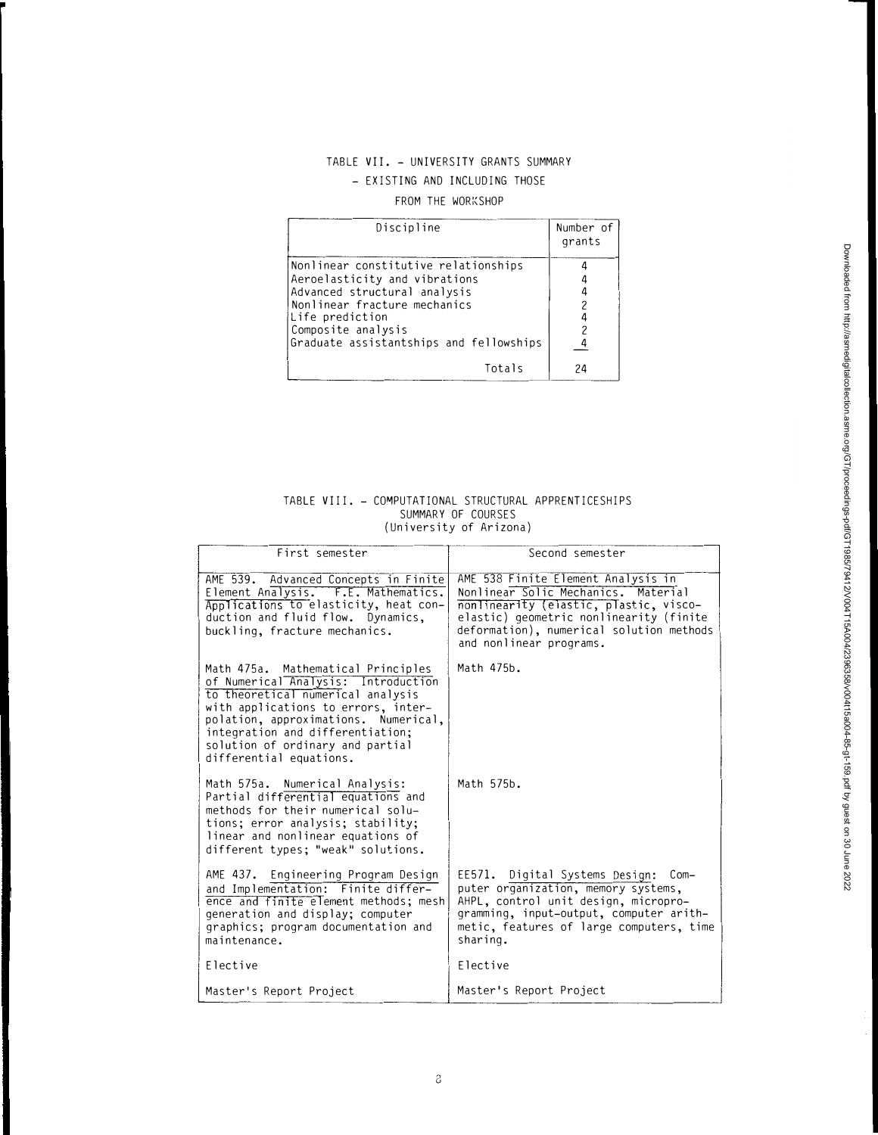# TABLE VII. - UNIVERSITY GRANTS SUMMARY - EXISTING AND INCLUDING THOSE

# FROM THE WORKSHOP

| Discipline                              | Number of<br>grants |
|-----------------------------------------|---------------------|
| Nonlinear constitutive relationships    |                     |
| Aeroelasticity and vibrations           |                     |
| Advanced structural analysis            |                     |
| Nonlinear fracture mechanics            |                     |
| Life prediction                         |                     |
| Composite analysis                      |                     |
| Graduate assistantships and fellowships |                     |
| Totals                                  |                     |

#### TABLE VIII. - COMPUTATIONAL STRUCTURAL APPRENTICESHIPS SUMMARY OF COURSES (University of Arizona)

| First semester                                                                                                                                                                                                                                                                                   | Second semester                                                                                                                                                                                                                       |  |
|--------------------------------------------------------------------------------------------------------------------------------------------------------------------------------------------------------------------------------------------------------------------------------------------------|---------------------------------------------------------------------------------------------------------------------------------------------------------------------------------------------------------------------------------------|--|
| AME 539. Advanced Concepts in Finite<br>Element Analysis. F.E. Mathematics.<br>Applications to elasticity, heat con-<br>duction and fluid flow. Dynamics,<br>buckling, fracture mechanics.                                                                                                       | AME 538 Finite Element Analysis in<br>Nonlinear Solic Mechanics. Material<br>nonlinearity (elastic, plastic, visco-<br>elastic) geometric nonlinearity (finite<br>deformation), numerical solution methods<br>and nonlinear programs. |  |
| Math 475a. Mathematical Principles<br>of Numerical Analysis: Introduction<br>to theoretical numerical analysis<br>with applications to errors, inter-<br>polation, approximations. Numerical,<br>integration and differentiation;<br>solution of ordinary and partial<br>differential equations. | Math 475b.                                                                                                                                                                                                                            |  |
| Math 575a. Numerical Analysis:<br>Partial differential equations and<br>methods for their numerical solu-<br>tions; error analysis; stability;<br>linear and nonlinear equations of<br>different types; "weak" solutions.                                                                        | Math 575b.                                                                                                                                                                                                                            |  |
| AME 437. Engineering Program Design<br>and Implementation: Finite differ-<br>ence and finite element methods; mesh<br>generation and display; computer<br>graphics; program documentation and<br>maintenance.                                                                                    | EE571. Digital Systems Design:<br>Com-<br>puter organization, memory systems,<br>AHPL, control unit design, micropro-<br>gramming, input-output, computer arith-<br>metic, features of large computers, time<br>sharing.              |  |
| Flective                                                                                                                                                                                                                                                                                         | Flective                                                                                                                                                                                                                              |  |
| Master's Report Project                                                                                                                                                                                                                                                                          | Master's Report Project                                                                                                                                                                                                               |  |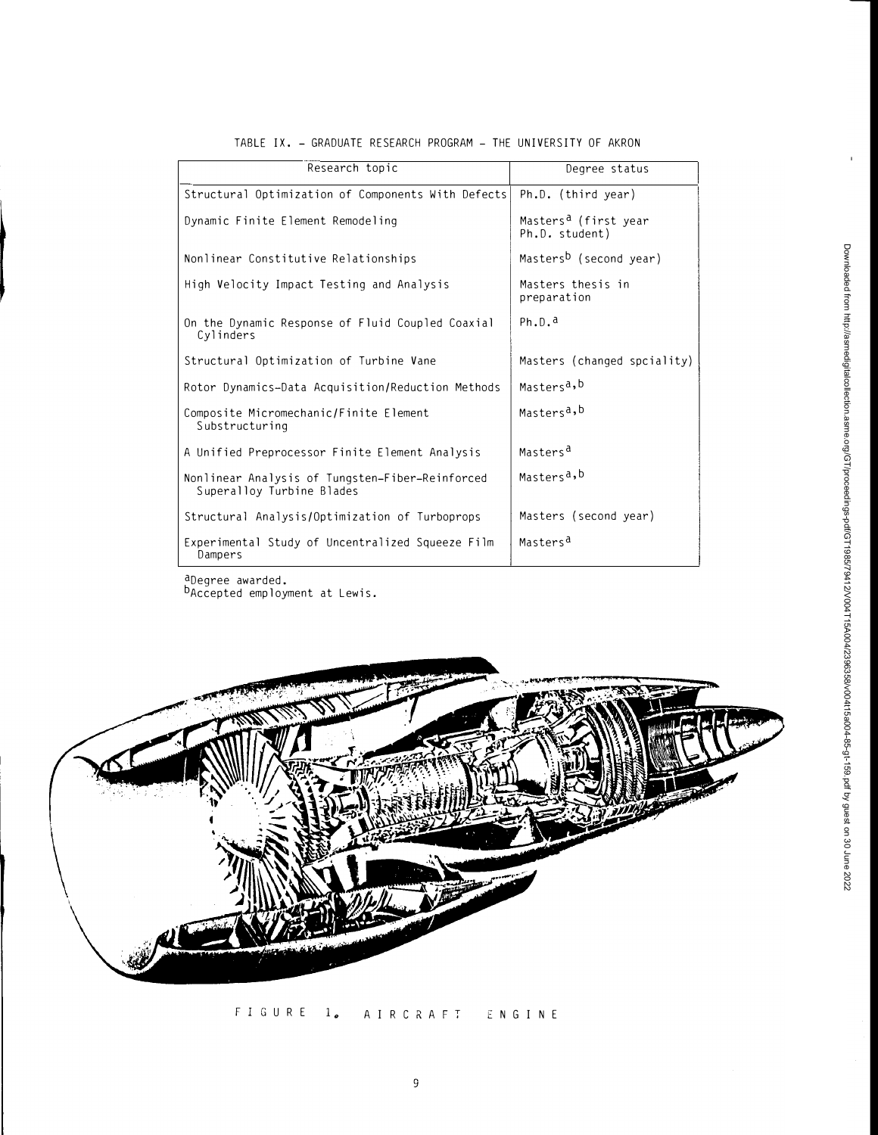| Research topic                                                               | Degree status                                      |
|------------------------------------------------------------------------------|----------------------------------------------------|
| Structural Optimization of Components With Defects                           | Ph.D. (third year)                                 |
| Dynamic Finite Element Remodeling                                            | Masters <sup>a</sup> (first year<br>Ph.D. student) |
| Nonlinear Constitutive Relationships                                         | Masters <sup>b</sup> (second year)                 |
| High Velocity Impact Testing and Analysis                                    | Masters thesis in<br>preparation                   |
| On the Dynamic Response of Fluid Coupled Coaxial<br>Cylinders                | Ph.D.d                                             |
| Structural Optimization of Turbine Vane                                      | Masters (changed spciality)                        |
| Rotor Dynamics-Data Acquisition/Reduction Methods                            | Masters <sup>a,b</sup>                             |
| Composite Micromechanic/Finite Element<br>Substructuring                     | Masters <sup>a,b</sup>                             |
| A Unified Preprocessor Finite Element Analysis                               | Masters <sup>a</sup>                               |
| Nonlinear Analysis of Tungsten-Fiber-Reinforced<br>Superalloy Turbine Blades | Masters <sup>a,b</sup>                             |
| Structural Analysis/Optimization of Turboprops                               | Masters (second year)                              |
| Experimental Study of Uncentralized Squeeze Film<br>Dampers                  | Masters <sup>d</sup>                               |

# TABLE IX. - GRADUATE RESEARCH PROGRAM - THE UNIVERSITY OF AKRON

aDegree awarded. b<br>Accepted employment at Lewis.



FIGURE 1. AIRCRAFT ENGINE